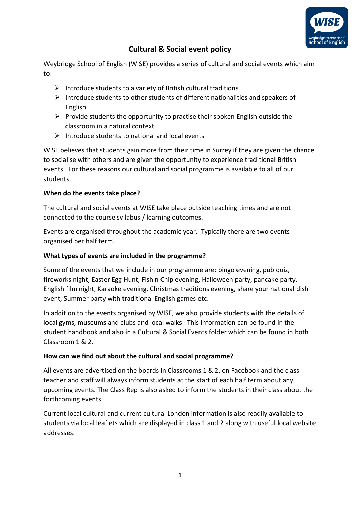

# **Cultural & Social event policy**

Weybridge School of English (WISE) provides a series of cultural and social events which aim to:

- $\triangleright$  Introduce students to a variety of British cultural traditions
- ➢ Introduce students to other students of different nationalities and speakers of English
- $\triangleright$  Provide students the opportunity to practise their spoken English outside the classroom in a natural context
- $\triangleright$  Introduce students to national and local events

WISE believes that students gain more from their time in Surrey if they are given the chance to socialise with others and are given the opportunity to experience traditional British events. For these reasons our cultural and social programme is available to all of our students.

## **When do the events take place?**

The cultural and social events at WISE take place outside teaching times and are not connected to the course syllabus / learning outcomes.

Events are organised throughout the academic year. Typically there are two events organised per half term.

# **What types of events are included in the programme?**

Some of the events that we include in our programme are: bingo evening, pub quiz, fireworks night, Easter Egg Hunt, Fish n Chip evening, Halloween party, pancake party, English film night, Karaoke evening, Christmas traditions evening, share your national dish event, Summer party with traditional English games etc.

In addition to the events organised by WISE, we also provide students with the details of local gyms, museums and clubs and local walks. This information can be found in the student handbook and also in a Cultural & Social Events folder which can be found in both Classroom 1 & 2.

## **How can we find out about the cultural and social programme?**

All events are advertised on the boards in Classrooms 1 & 2, on Facebook and the class teacher and staff will always inform students at the start of each half term about any upcoming events. The Class Rep is also asked to inform the students in their class about the forthcoming events.

Current local cultural and current cultural London information is also readily available to students via local leaflets which are displayed in class 1 and 2 along with useful local website addresses.